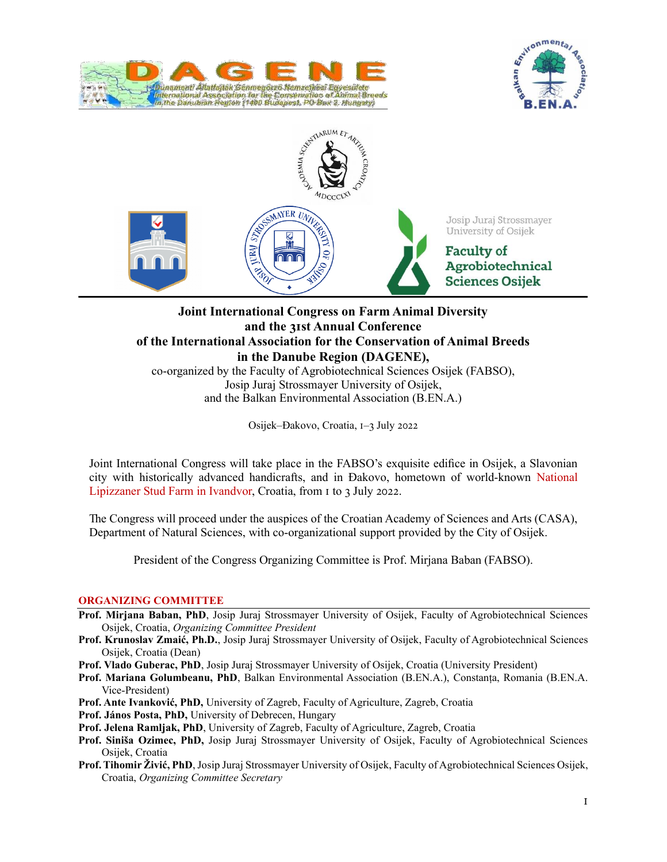





# **Joint International Congress on Farm Animal Diversity and the 31st Annual Conference of the International Association for the Conservation of Animal Breeds in the Danube Region (DAGENE),** co-organized by the Faculty of Agrobiotechnical Sciences Osijek (FABSO),

Josip Juraj Strossmayer University of Osijek, and the Balkan Environmental Association (B.EN.A.)

Osijek–Đakovo, Croatia, 1–3 July 2022

Joint International Congress will take place in the FABSO's exquisite edifice in Osijek, a Slavonian city with historically advanced handicrafts, and in Đakovo, hometown of world‐known National Lipizzaner Stud Farm in Ivandvor, Croatia, from 1 to 3 July 2022.

The Congress will proceed under the auspices of the Croatian Academy of Sciences and Arts (CASA), Department of Natural Sciences, with co‐organizational support provided by the City of Osijek.

President of the Congress Organizing Committee is Prof. Mirjana Baban (FABSO).

### **ORGANIZING COMMITTEE**

- **Prof. Mirjana Baban, PhD**, Josip Juraj Strossmayer University of Osijek, Faculty of Agrobiotechnical Sciences Osijek, Croatia, *Organizing Committee President*
- **Prof. Krunoslav Zmaić, Ph.D.**, Josip Juraj Strossmayer University of Osijek, Faculty of Agrobiotechnical Sciences Osijek, Croatia (Dean)
- **Prof. Vlado Guberac, PhD**, Josip Juraj Strossmayer University of Osijek, Croatia (University President)
- **Prof. Mariana Golumbeanu, PhD**, Balkan Environmental Association (B.EN.A.), Constanța, Romania (B.EN.A. Vice‐President)
- **Prof. Ante Ivanković, PhD,** University of Zagreb, Faculty of Agriculture, Zagreb, Croatia
- **Prof. János Posta, PhD,** University of Debrecen, Hungary
- **Prof. Jelena Ramljak, PhD**, University of Zagreb, Faculty of Agriculture, Zagreb, Croatia
- **Prof. Siniša Ozimec, PhD,** Josip Juraj Strossmayer University of Osijek, Faculty of Agrobiotechnical Sciences Osijek, Croatia
- **Prof. Tihomir Živić, PhD**, Josip Juraj Strossmayer University of Osijek, Faculty of Agrobiotechnical Sciences Osijek, Croatia, *Organizing Committee Secretary*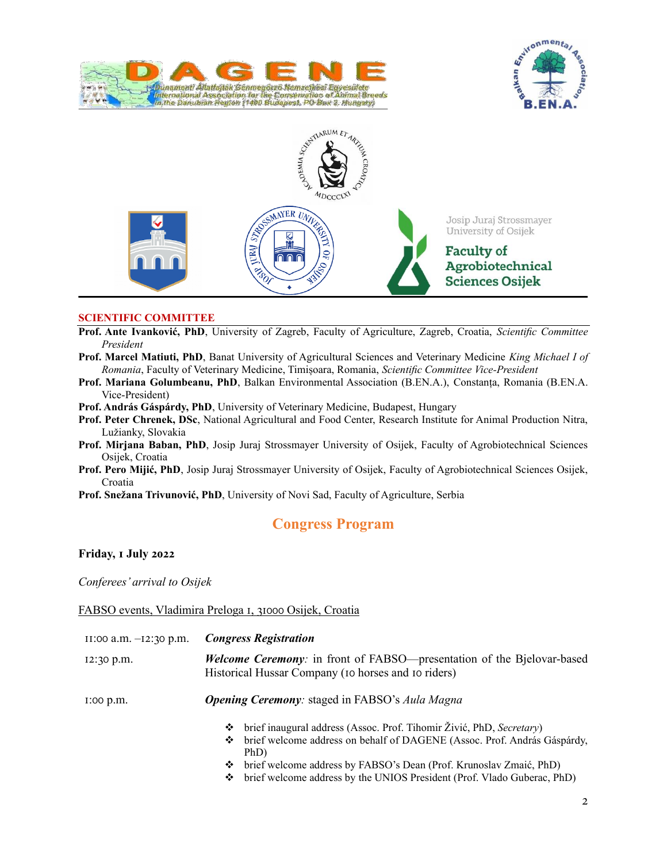





### **SCIENTIFIC COMMITTEE**

- **Prof. Ante Ivanković, PhD**, University of Zagreb, Faculty of Agriculture, Zagreb, Croatia, *Scientific Committee President*
- **Prof. Marcel Matiuti, PhD**, Banat University of Agricultural Sciences and Veterinary Medicine *King Michael Ⅰ of Romania*, Faculty of Veterinary Medicine, Timișoara, Romania, *Scientific Committee Vice‐President*
- **Prof. Mariana Golumbeanu, PhD**, Balkan Environmental Association (B.EN.A.), Constanța, Romania (B.EN.A. Vice‐President)
- **Prof. András Gáspárdy, PhD**, University of Veterinary Medicine, Budapest, Hungary
- **Prof. Peter Chrenek, DSc**, National Agricultural and Food Center, Research Institute for Animal Production Nitra, Lužianky, Slovakia
- **Prof. Mirjana Baban, PhD**, Josip Juraj Strossmayer University of Osijek, Faculty of Agrobiotechnical Sciences Osijek, Croatia
- **Prof. Pero Mijić, PhD**, Josip Juraj Strossmayer University of Osijek, Faculty of Agrobiotechnical Sciences Osijek, Croatia

**Prof. Snežana Trivunović, PhD**, University of Novi Sad, Faculty of Agriculture, Serbia

# **Congress Program**

### **Friday, 1 July 2022**

*Conferees' arrival to Osijek*

### FABSO events, Vladimira Preloga 1, 31000 Osijek, Croatia

11:00 a.m. –12:30 p.m. *Congress Registration* 12:30 p.m. *Welcome Ceremony*: in front of FABSO—presentation of the Bjelovar-based Historical Hussar Company (10 horses and 10 riders)

1:00 p.m. *Opening Ceremony:* staged in FABSO's *Aula Magna*

- ❖ brief inaugural address (Assoc. Prof. Tihomir Živić, PhD, *Secretary*)
- ❖ brief welcome address on behalf of DAGENE (Assoc. Prof. András Gáspárdy, PhD)
- ❖ brief welcome address by FABSO's Dean (Prof. Krunoslav Zmaić, PhD)
- ❖ brief welcome address by the UNIOS President (Prof. Vlado Guberac, PhD)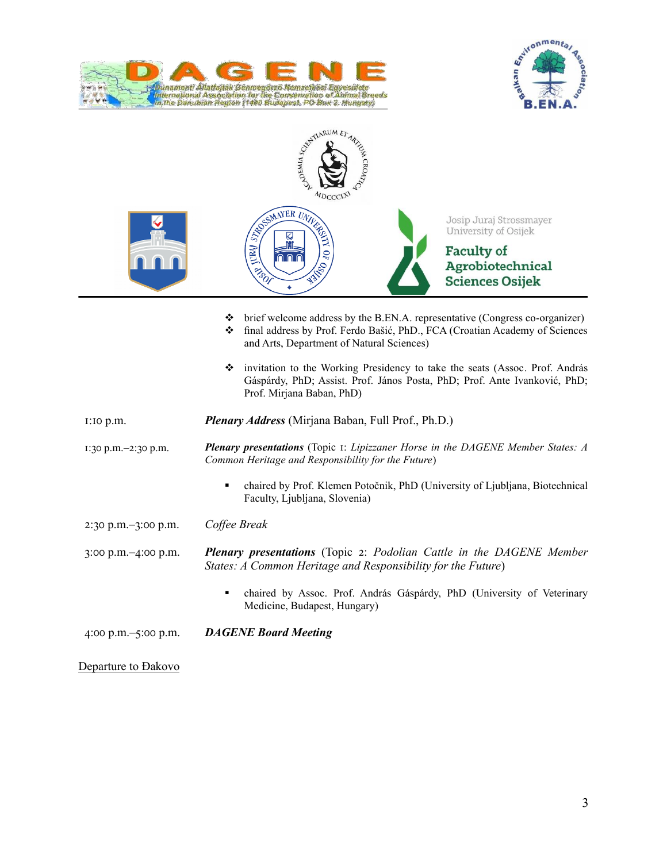





|                                         | $\bullet$ brief welcome address by the B.EN.A. representative (Congress co-organizer)<br>final address by Prof. Ferdo Bašić, PhD., FCA (Croatian Academy of Sciences<br>❖<br>and Arts, Department of Natural Sciences) |
|-----------------------------------------|------------------------------------------------------------------------------------------------------------------------------------------------------------------------------------------------------------------------|
|                                         | invitation to the Working Presidency to take the seats (Assoc. Prof. András<br>Gáspárdy, PhD; Assist. Prof. János Posta, PhD; Prof. Ante Ivanković, PhD;<br>Prof. Mirjana Baban, PhD)                                  |
| $I:IO$ $p.m.$                           | <b>Plenary Address</b> (Mirjana Baban, Full Prof., Ph.D.)                                                                                                                                                              |
| 1:30 p.m.-2:30 p.m.                     | <b>Plenary presentations</b> (Topic 1: Lipizzaner Horse in the DAGENE Member States: A<br>Common Heritage and Responsibility for the Future)                                                                           |
|                                         | chaired by Prof. Klemen Potočnik, PhD (University of Ljubljana, Biotechnical<br>٠<br>Faculty, Ljubljana, Slovenia)                                                                                                     |
| $2:30 \text{ p.m.} - 3:00 \text{ p.m.}$ | Coffee Break                                                                                                                                                                                                           |
| 3:00 p.m.-4:00 p.m.                     | <b>Plenary presentations</b> (Topic 2: Podolian Cattle in the DAGENE Member<br>States: A Common Heritage and Responsibility for the Future)                                                                            |
|                                         | chaired by Assoc. Prof. András Gáspárdy, PhD (University of Veterinary<br>٠<br>Medicine, Budapest, Hungary)                                                                                                            |
| 4:00 p.m. $-5:00$ p.m.                  | <b>DAGENE Board Meeting</b>                                                                                                                                                                                            |

Departure to Đakovo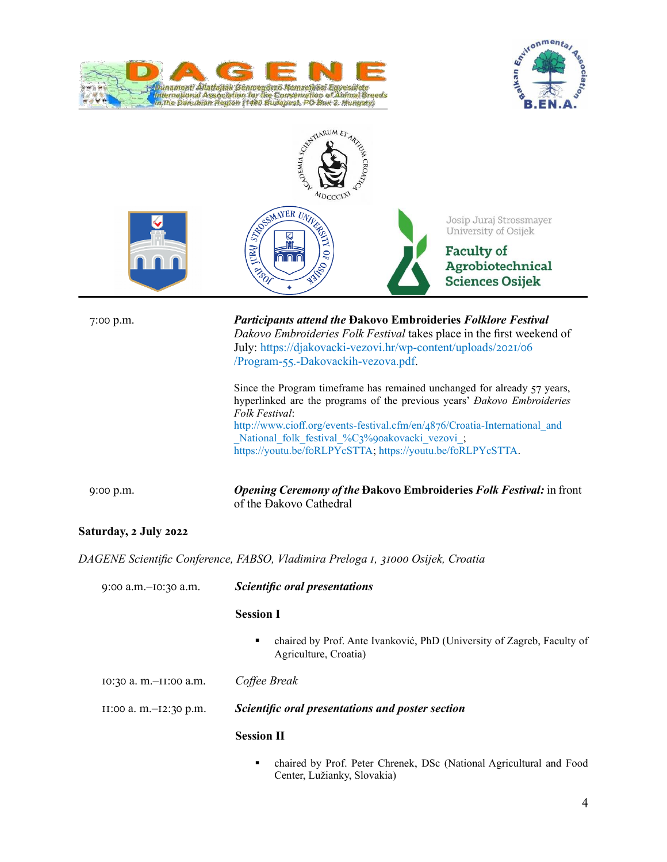





| 7:00 p.m.              | <b>Participants attend the Đakovo Embroideries Folklore Festival</b><br>Dakovo Embroideries Folk Festival takes place in the first weekend of<br>July: https://djakovacki-vezovi.hr/wp-content/uploads/2021/06<br>/Program-55.-Dakovackih-vezova.pdf.                                                                                                                |
|------------------------|----------------------------------------------------------------------------------------------------------------------------------------------------------------------------------------------------------------------------------------------------------------------------------------------------------------------------------------------------------------------|
|                        | Since the Program timeframe has remained unchanged for already 57 years,<br>hyperlinked are the programs of the previous years' Dakovo Embroideries<br>Folk Festival:<br>http://www.cioff.org/events-festival.cfm/en/4876/Croatia-International and<br>National folk festival %C3%90akovacki vezovi ;<br>https://youtu.be/foRLPYcSTTA; https://youtu.be/foRLPYcSTTA. |
| 9:00 p.m.              | <b>Opening Ceremony of the Dakovo Embroideries Folk Festival:</b> in front<br>of the Đakovo Cathedral                                                                                                                                                                                                                                                                |
| Saturday, 2 July 2022  |                                                                                                                                                                                                                                                                                                                                                                      |
|                        | DAGENE Scientific Conference, FABSO, Vladimira Preloga 1, 31000 Osijek, Croatia                                                                                                                                                                                                                                                                                      |
| 9:00 a.m.-10:30 a.m.   | Scientific oral presentations                                                                                                                                                                                                                                                                                                                                        |
|                        | <b>Session I</b>                                                                                                                                                                                                                                                                                                                                                     |
|                        | chaired by Prof. Ante Ivanković, PhD (University of Zagreb, Faculty of<br>٠<br>Agriculture, Croatia)                                                                                                                                                                                                                                                                 |
| 10:30 a.m.-II:00 a.m.  | Coffee Break                                                                                                                                                                                                                                                                                                                                                         |
| II:00 a. m.-12:30 p.m. | Scientific oral presentations and poster section                                                                                                                                                                                                                                                                                                                     |
|                        | <b>Session II</b>                                                                                                                                                                                                                                                                                                                                                    |
|                        | chaired by Prof. Peter Chrenek, DSc (National Agricultural and Food<br>٠<br>Center, Lužianky, Slovakia)                                                                                                                                                                                                                                                              |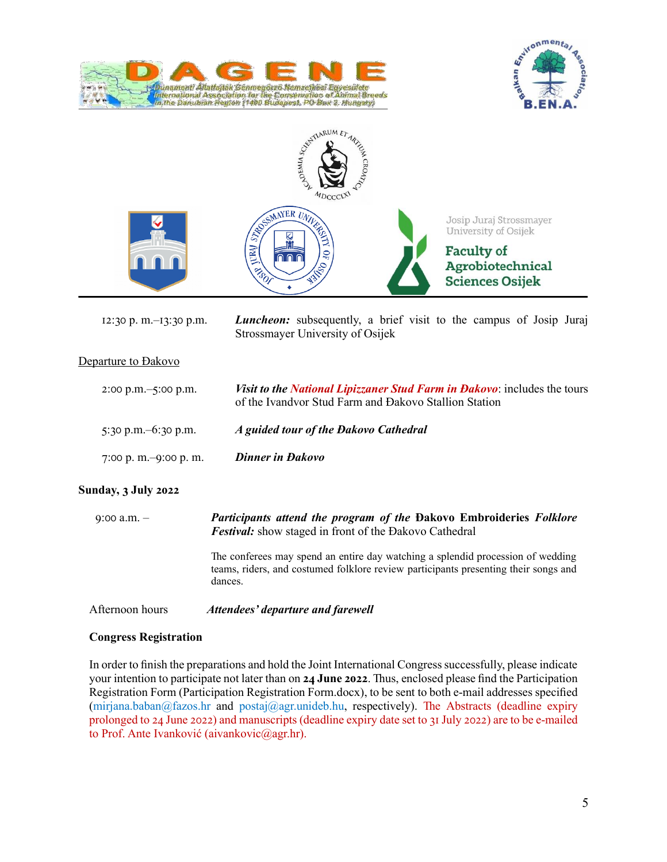





| $12:30$ p. m.- $13:30$ p.m.             | <b>Luncheon:</b> subsequently, a brief visit to the campus of Josip Juraj<br>Strossmayer University of Osijek                            |
|-----------------------------------------|------------------------------------------------------------------------------------------------------------------------------------------|
| Departure to Dakovo                     |                                                                                                                                          |
| $2:00 \text{ p.m.} - 5:00 \text{ p.m.}$ | <i>Visit to the National Lipizzaner Stud Farm in Dakovo:</i> includes the tours<br>of the Ivandvor Stud Farm and Đakovo Stallion Station |
| 5:30 p.m. $-6$ :30 p.m.                 | A guided tour of the Dakovo Cathedral                                                                                                    |
| 7:00 p. m. $-9:00$ p. m.                | <b>Dinner in Đakovo</b>                                                                                                                  |

### **Sunday, 3 July 2022**

9:00 a.m. – *Participants attend the program of the* **Đakovo Embroideries** *Folklore Festival:* show staged in front of the Đakovo Cathedral

> The conferees may spend an entire day watching a splendid procession of wedding teams, riders, and costumed folklore review participants presenting their songs and dances.

Afternoon hours *Attendees' departure and farewell*

### **Congress Registration**

In order to finish the preparations and hold the Joint International Congress successfully, please indicate your intention to participate not later than on **24 June 2022**. Thus, enclosed please find the Participation Registration Form (Participation Registration Form.docx), to be sent to both e-mail addresses specified (mirjana.baban@fazos.hr and postaj@agr.unideb.hu, respectively). The Abstracts (deadline expiry prolonged to 24 June 2022) and manuscripts (deadline expiry date set to 31 July 2022) are to be e-mailed to Prof. Ante Ivanković (aivankovic@agr.hr).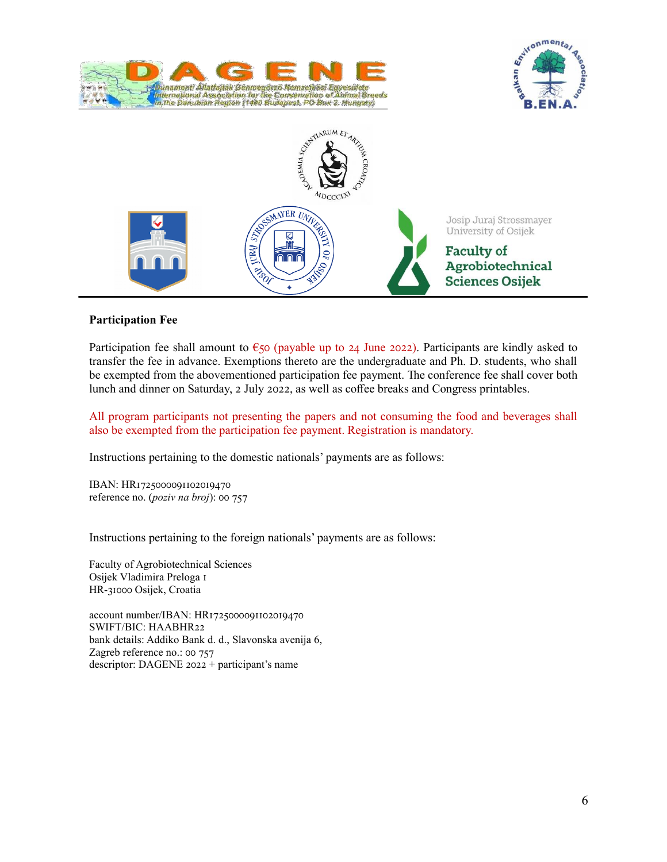





## **Participation Fee**

Participation fee shall amount to  $\epsilon$ 50 (payable up to 24 June 2022). Participants are kindly asked to transfer the fee in advance. Exemptions thereto are the undergraduate and Ph. D. students, who shall be exempted from the abovementioned participation fee payment. The conference fee shall cover both lunch and dinner on Saturday, 2 July 2022, as well as coffee breaks and Congress printables.

All program participants not presenting the papers and not consuming the food and beverages shall also be exempted from the participation fee payment. Registration is mandatory.

Instructions pertaining to the domestic nationals' payments are as follows:

IBAN: HR1725000091102019470 reference no. (*poziv na broj*): 00 757

Instructions pertaining to the foreign nationals' payments are as follows:

Faculty of Agrobiotechnical Sciences Osijek Vladimira Preloga 1 HR‐31000 Osijek, Croatia

account number/IBAN: HR1725000091102019470 SWIFT/BIC: HAABHR22 bank details: Addiko Bank d. d., Slavonska avenija 6, Zagreb reference no.: 00 757 descriptor: DAGENE 2022 + participant's name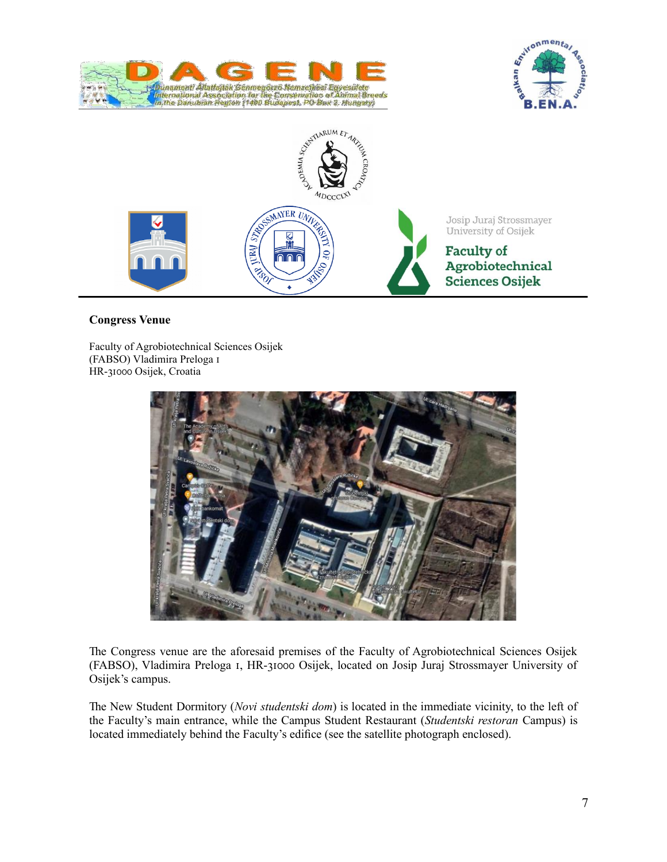





## **Congress Venue**

Faculty of Agrobiotechnical Sciences Osijek (FABSO) Vladimira Preloga 1 HR‐31000 Osijek, Croatia



The Congress venue are the aforesaid premises of the Faculty of Agrobiotechnical Sciences Osijek (FABSO), Vladimira Preloga 1, HR‐31000 Osijek, located on Josip Juraj Strossmayer University of Osijek's campus.

The New Student Dormitory (*Novi studentski dom*) is located in the immediate vicinity, to the left of the Faculty's main entrance, while the Campus Student Restaurant (*Studentski restoran* Campus) is located immediately behind the Faculty's edifice (see the satellite photograph enclosed).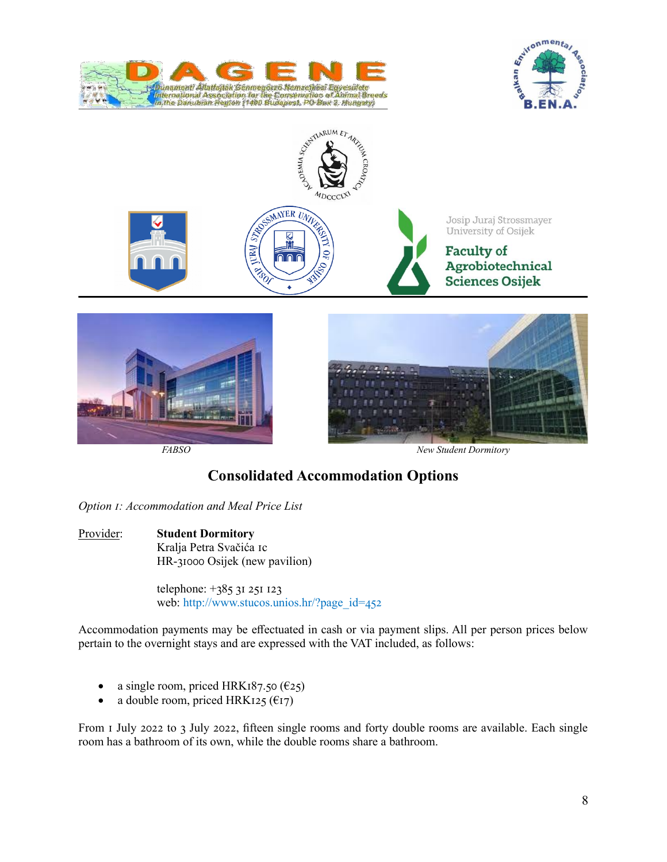







# **Consolidated Accommodation Options**

*Option 1: Accommodation and Meal Price List*

Provider: **Student Dormitory** Kralja Petra Svačića 1c HR‐31000 Osijek (new pavilion)

> telephone: +385 31 251 123 web: http://www.stucos.unios.hr/?page\_id=452

Accommodation payments may be effectuated in cash or via payment slips. All per person prices below pertain to the overnight stays and are expressed with the VAT included, as follows:

- a single room, priced HRK187.50  $(625)$
- a double room, priced HRK125 ( $E$ 17)

From 1 July 2022 to 3 July 2022, fifteen single rooms and forty double rooms are available. Each single room has a bathroom of its own, while the double rooms share a bathroom.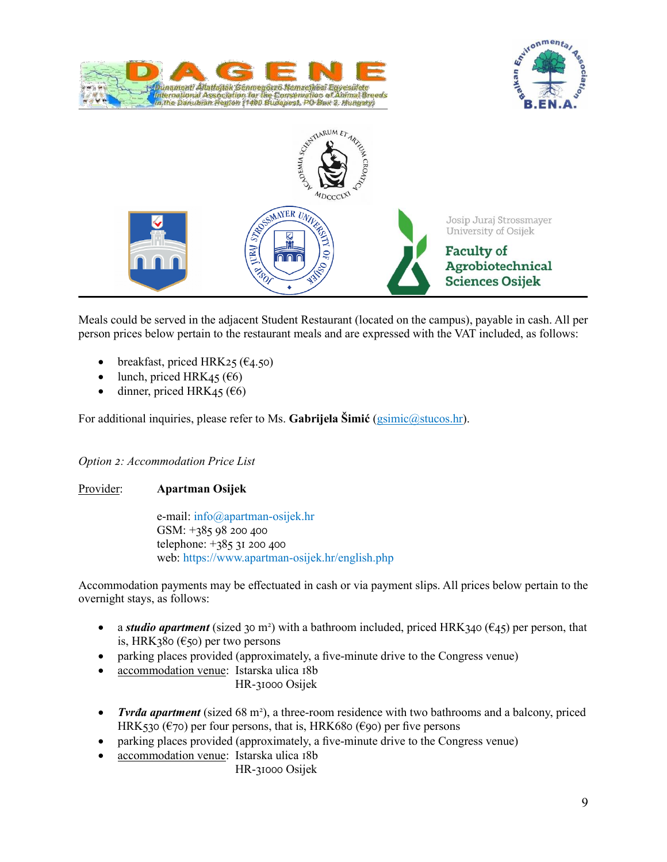





Meals could be served in the adjacent Student Restaurant (located on the campus), payable in cash. All per person prices below pertain to the restaurant meals and are expressed with the VAT included, as follows:

- breakfast, priced HRK25 ( $\epsilon$ 4.50)
- lunch, priced HRK45 ( $\epsilon$ 6)
- dinner, priced HRK45 ( $\epsilon$ 6)

For additional inquiries, please refer to Ms. **Gabrijela Šimić** (*gsimic@stucos.hr*).

### *Option 2: Accommodation Price List*

Provider: **Apartman Osijek**

e‐mail: info@apartman-osijek.hr GSM: +385 98 200 400 telephone: +385 31 200 400 web: https://www.apartman-osijek.hr/english.php

Accommodation payments may be effectuated in cash or via payment slips. All prices below pertain to the overnight stays, as follows:

- a *studio apartment* (sized 30 m<sup>2</sup>) with a bathroom included, priced HRK340 ( $\epsilon$ 45) per person, that is, HRK380 ( $\epsilon$ 50) per two persons
- parking places provided (approximately, a five-minute drive to the Congress venue)
- accommodation venue: Istarska ulica 18b

HR‐31000 Osijek

- *Tvrđa apartment* (sized 68 m<sup>2</sup>), a three-room residence with two bathrooms and a balcony, priced HRK530 ( $\epsilon$ 70) per four persons, that is, HRK680 ( $\epsilon$ 90) per five persons
- parking places provided (approximately, a five‐minute drive to the Congress venue)
- accommodation venue: Istarska ulica 18b
	- HR‐31000 Osijek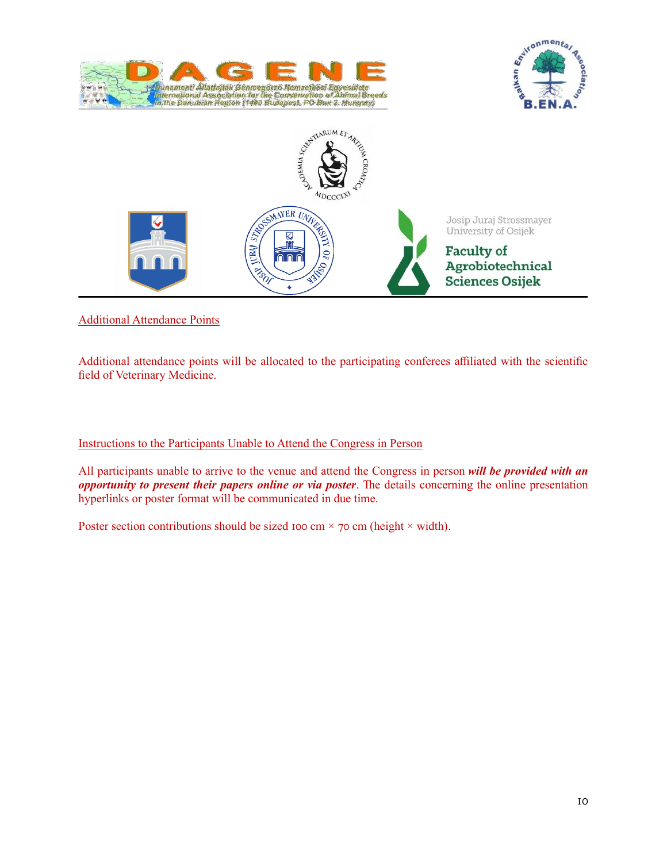





# Additional Attendance Points

Additional attendance points will be allocated to the participating conferees affiliated with the scientific field of Veterinary Medicine.

## Instructions to the Participants Unable to Attend the Congress in Person

All participants unable to arrive to the venue and attend the Congress in person *will be provided with an opportunity to present their papers online or via poster*. The details concerning the online presentation hyperlinks or poster format will be communicated in due time.

Poster section contributions should be sized 100 cm  $\times$  70 cm (height  $\times$  width).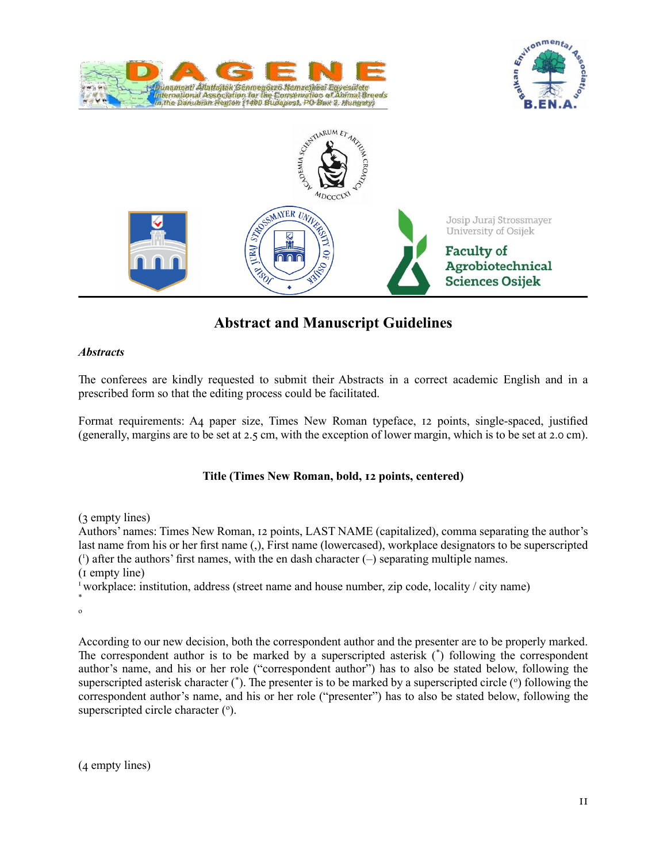





# **Abstract and Manuscript Guidelines**

### *Abstracts*

The conferees are kindly requested to submit their Abstracts in a correct academic English and in a prescribed form so that the editing process could be facilitated.

Format requirements: A4 paper size, Times New Roman typeface, 12 points, single‐spaced, justified (generally, margins are to be set at 2.5 cm, with the exception of lower margin, which is to be set at 2.0 cm).

## **Title (Times New Roman, bold, 12 points, centered)**

(3 empty lines)

Authors' names: Times New Roman, 12 points, LAST NAME (capitalized), comma separating the author's last name from his or her first name (.), First name (lowercased), workplace designators to be superscripted ( 1 ) after the authors' first names, with the en dash character (–) separating multiple names. (1 empty line)

<sup>1</sup> workplace: institution, address (street name and house number, zip code, locality / city name)

\* o

According to our new decision, both the correspondent author and the presenter are to be properly marked. The correspondent author is to be marked by a superscripted asterisk (\* ) following the correspondent author's name, and his or her role ("correspondent author") has to also be stated below, following the superscripted asterisk character  $(\dot{\ })$ . The presenter is to be marked by a superscripted circle  $(\dot{\ })$  following the correspondent author's name, and his or her role ("presenter") has to also be stated below, following the superscripted circle character  $(°)$ .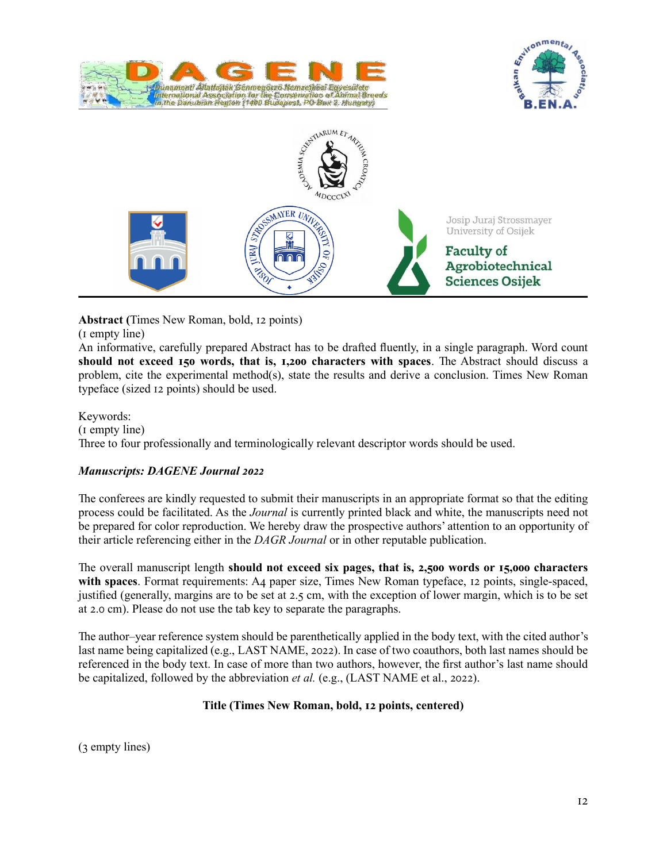





**Abstract (**Times New Roman, bold, 12 points)

(1 empty line)

An informative, carefully prepared Abstract has to be drafted fluently, in a single paragraph. Word count **should not exceed 150 words, that is, 1,200 characters with spaces**. The Abstract should discuss a problem, cite the experimental method(s), state the results and derive a conclusion. Times New Roman typeface (sized 12 points) should be used.

Keywords: (1 empty line) Three to four professionally and terminologically relevant descriptor words should be used.

# *Manuscripts: DAGENE Journal 2022*

The conferees are kindly requested to submit their manuscripts in an appropriate format so that the editing process could be facilitated. As the *Journal* is currently printed black and white, the manuscripts need not be prepared for color reproduction. We hereby draw the prospective authors' attention to an opportunity of their article referencing either in the *DAGR Journal* or in other reputable publication.

The overall manuscript length **should not exceed six pages, that is, 2,500 words or 15,000 characters**  with spaces. Format requirements: A4 paper size, Times New Roman typeface, 12 points, single-spaced, justified (generally, margins are to be set at 2.5 cm, with the exception of lower margin, which is to be set at 2.0 cm). Please do not use the tab key to separate the paragraphs.

The author–year reference system should be parenthetically applied in the body text, with the cited author's last name being capitalized (e.g., LAST NAME, 2022). In case of two coauthors, both last names should be referenced in the body text. In case of more than two authors, however, the first author's last name should be capitalized, followed by the abbreviation *et al.* (e.g., (LAST NAME et al., 2022).

# **Title (Times New Roman, bold, 12 points, centered)**

(3 empty lines)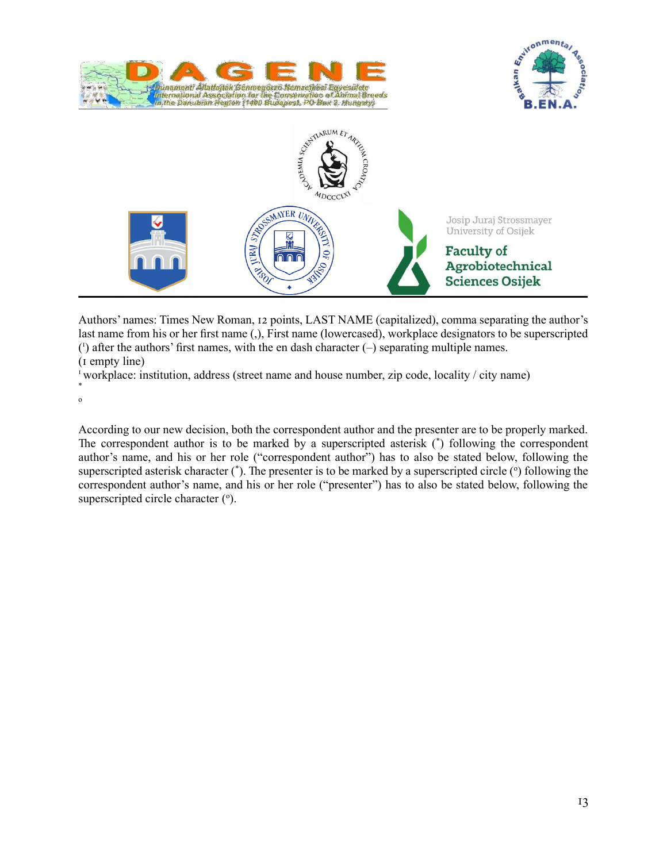





Authors' names: Times New Roman, 12 points, LAST NAME (capitalized), comma separating the author's last name from his or her first name (.), First name (lowercased), workplace designators to be superscripted ( 1 ) after the authors' first names, with the en dash character (–) separating multiple names. (1 empty line)

<sup>1</sup> workplace: institution, address (street name and house number, zip code, locality / city name)

\* o

According to our new decision, both the correspondent author and the presenter are to be properly marked. The correspondent author is to be marked by a superscripted asterisk (\* ) following the correspondent author's name, and his or her role ("correspondent author") has to also be stated below, following the superscripted asterisk character  $(\dot{\ })$ . The presenter is to be marked by a superscripted circle  $(\dot{\ })$  following the correspondent author's name, and his or her role ("presenter") has to also be stated below, following the superscripted circle character  $(°)$ .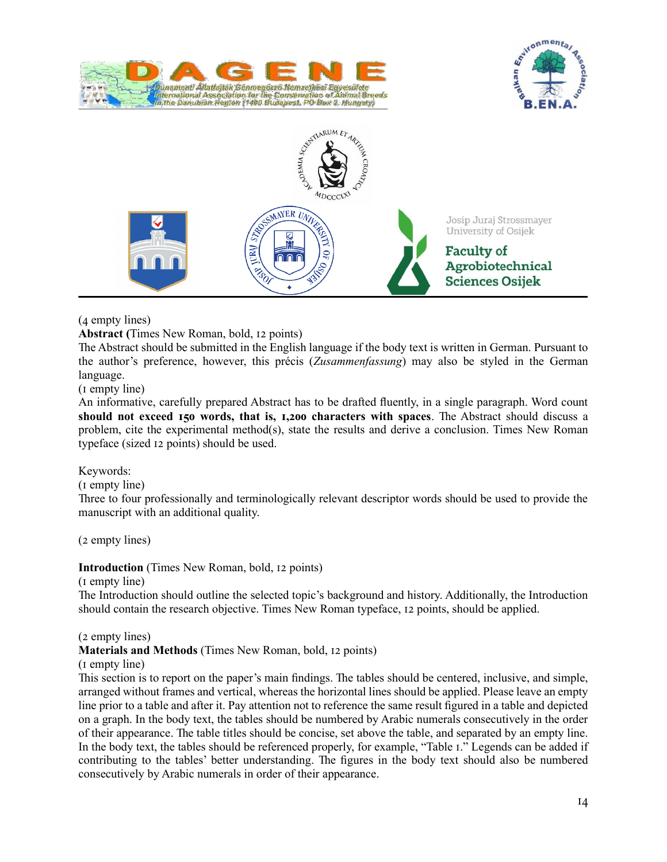





## (4 empty lines)

**Abstract (**Times New Roman, bold, 12 points)

The Abstract should be submitted in the English language if the body text is written in German. Pursuant to the author's preference, however, this précis (*Zusammenfassung*) may also be styled in the German language.

(1 empty line)

An informative, carefully prepared Abstract has to be drafted fluently, in a single paragraph. Word count **should not exceed 150 words, that is, 1,200 characters with spaces**. The Abstract should discuss a problem, cite the experimental method(s), state the results and derive a conclusion. Times New Roman typeface (sized 12 points) should be used.

### Keywords:

(1 empty line)

Three to four professionally and terminologically relevant descriptor words should be used to provide the manuscript with an additional quality.

(2 empty lines)

**Introduction** (Times New Roman, bold, 12 points)

(1 empty line)

The Introduction should outline the selected topic's background and history. Additionally, the Introduction should contain the research objective. Times New Roman typeface, 12 points, should be applied.

(2 empty lines)

### **Materials and Methods** (Times New Roman, bold, 12 points)

(1 empty line)

This section is to report on the paper's main findings. The tables should be centered, inclusive, and simple, arranged without frames and vertical, whereas the horizontal lines should be applied. Please leave an empty line prior to a table and after it. Pay attention not to reference the same result figured in a table and depicted on a graph. In the body text, the tables should be numbered by Arabic numerals consecutively in the order of their appearance. The table titles should be concise, set above the table, and separated by an empty line. In the body text, the tables should be referenced properly, for example, "Table 1." Legends can be added if contributing to the tables' better understanding. The figures in the body text should also be numbered consecutively by Arabic numerals in order of their appearance.